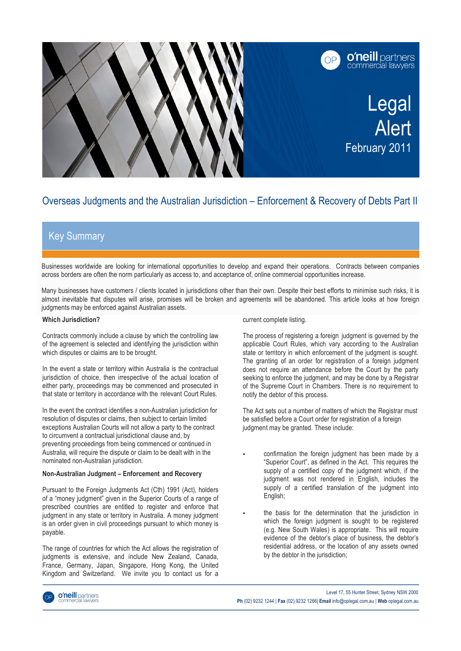

# Overseas Judgments and the Australian Jurisdiction – Enforcement & Recovery of Debts Part II

## Key Summary

1

2

Businesses worldwide are looking for international opportunities to develop and expand their operations. Contracts between companies across borders are often the norm particularly as access to, and acceptance of, online commercial opportunities increase.

Many businesses have customers / clients located in jurisdictions other than their own. Despite their best efforts to minimise such risks, it is almost inevitable that disputes will arise, promises will be broken and agreements will be abandoned. This article looks at how foreign judgments may be enforced against Australian assets.

### **Which Jurisdiction?**

Contracts commonly include a clause by which the controlling law of the agreement is selected and identifying the jurisdiction within which disputes or claims are to be brought.

In the event a state or territory within Australia is the contractual jurisdiction of choice, then irrespective of the actual location of either party, proceedings may be commenced and prosecuted in that state or territory in accordance with the relevant Court Rules.

In the event the contract identifies a non-Australian jurisdiction for resolution of disputes or claims, then subject to certain limited exceptions Australian Courts will not allow a party to the contract to circumvent a contractual jurisdictional clause and, by preventing proceedings from being commenced or continued in Australia, will require the dispute or claim to be dealt with in the nominated non-Australian jurisdiction.

#### **Non-Australian Judgment – Enforcement and Recovery**

Pursuant to the Foreign Judgments Act (Cth) 1991 (Act), holders of a "money judgment" given in the Superior Courts of a range of prescribed countries are entitled to register and enforce that judgment in any state or territory in Australia. A money judgment is an order given in civil proceedings pursuant to which money is payable.

The range of countries for which the Act allows the registration of judgments is extensive, and include New Zealand, Canada, France, Germany, Japan, Singapore, Hong Kong, the United Kingdom and Switzerland. We invite you to contact us for a

current complete listing.

The process of registering a foreign judgment is governed by the applicable Court Rules, which vary according to the Australian state or territory in which enforcement of the judgment is sought. The granting of an order for registration of a foreign judgment does not require an attendance before the Court by the party seeking to enforce the judgment, and may be done by a Registrar of the Supreme Court in Chambers. There is no requirement to notify the debtor of this process.

The Act sets out a number of matters of which the Registrar must be satisfied before a Court order for registration of a foreign judgment may be granted. These include:

- confirmation the foreign judgment has been made by a "Superior Court", as defined in the Act. This requires the supply of a certified copy of the judgment which, if the judgment was not rendered in English, includes the supply of a certified translation of the judgment into English;
- the basis for the determination that the jurisdiction in which the foreign judgment is sought to be registered (e.g. New South Wales) is appropriate. This will require evidence of the debtor's place of business, the debtor's residential address, or the location of any assets owned by the debtor in the jurisdiction;

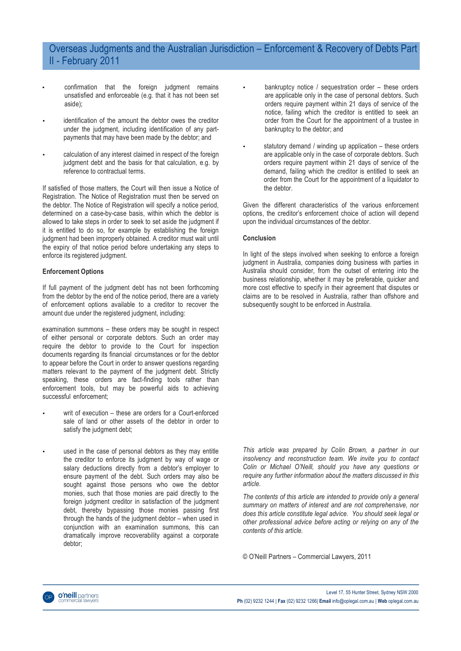## Overseas Judgments and the Australian Jurisdiction – Enforcement & Recovery of Debts Part II - February 2011

- confirmation that the foreign judgment remains unsatisfied and enforceable (e.g. that it has not been set aside);
- identification of the amount the debtor owes the creditor under the judgment, including identification of any partpayments that may have been made by the debtor; and
- calculation of any interest claimed in respect of the foreign judgment debt and the basis for that calculation, e.g. by reference to contractual terms.

If satisfied of those matters, the Court will then issue a Notice of Registration. The Notice of Registration must then be served on the debtor. The Notice of Registration will specify a notice period, determined on a case-by-case basis, within which the debtor is allowed to take steps in order to seek to set aside the judgment if it is entitled to do so, for example by establishing the foreign judgment had been improperly obtained. A creditor must wait until the expiry of that notice period before undertaking any steps to enforce its registered judgment.

#### **Enforcement Options**

If full payment of the judgment debt has not been forthcoming from the debtor by the end of the notice period, there are a variety of enforcement options available to a creditor to recover the amount due under the registered judgment, including:

examination summons – these orders may be sought in respect of either personal or corporate debtors. Such an order may require the debtor to provide to the Court for inspection documents regarding its financial circumstances or for the debtor to appear before the Court in order to answer questions regarding matters relevant to the payment of the judgment debt. Strictly speaking, these orders are fact-finding tools rather than enforcement tools, but may be powerful aids to achieving successful enforcement;

- writ of execution these are orders for a Court-enforced sale of land or other assets of the debtor in order to satisfy the judgment debt;
- used in the case of personal debtors as they may entitle the creditor to enforce its judgment by way of wage or salary deductions directly from a debtor's employer to ensure payment of the debt. Such orders may also be sought against those persons who owe the debtor monies, such that those monies are paid directly to the foreign judgment creditor in satisfaction of the judgment debt, thereby bypassing those monies passing first through the hands of the judgment debtor – when used in conjunction with an examination summons, this can dramatically improve recoverability against a corporate debtor;
- bankruptcy notice / sequestration order these orders are applicable only in the case of personal debtors. Such orders require payment within 21 days of service of the notice, failing which the creditor is entitled to seek an order from the Court for the appointment of a trustee in bankruptcy to the debtor; and
- statutory demand / winding up application these orders are applicable only in the case of corporate debtors. Such orders require payment within 21 days of service of the demand, failing which the creditor is entitled to seek an order from the Court for the appointment of a liquidator to the debtor.

Given the different characteristics of the various enforcement options, the creditor's enforcement choice of action will depend upon the individual circumstances of the debtor.

### **Conclusion**

In light of the steps involved when seeking to enforce a foreign judgment in Australia, companies doing business with parties in Australia should consider, from the outset of entering into the business relationship, whether it may be preferable, quicker and more cost effective to specify in their agreement that disputes or claims are to be resolved in Australia, rather than offshore and subsequently sought to be enforced in Australia.

*This article was prepared by Colin Brown, a partner in our insolvency and reconstruction team. We invite you to contact Colin or Michael O'Neill, should you have any questions or require any further information about the matters discussed in this article.*

*The contents of this article are intended to provide only a general summary on matters of interest and are not comprehensive, nor does this article constitute legal advice. You should seek legal or other professional advice before acting or relying on any of the contents of this article.*

© O'Neill Partners – Commercial Lawyers, 2011